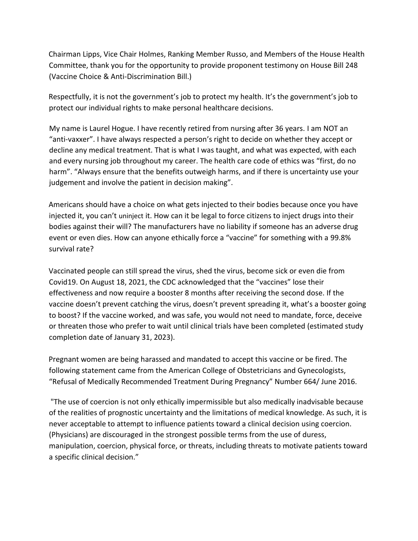Chairman Lipps, Vice Chair Holmes, Ranking Member Russo, and Members of the House Health Committee, thank you for the opportunity to provide proponent testimony on House Bill 248 (Vaccine Choice & Anti-Discrimination Bill.)

Respectfully, it is not the government's job to protect my health. It's the government's job to protect our individual rights to make personal healthcare decisions.

My name is Laurel Hogue. I have recently retired from nursing after 36 years. I am NOT an "anti-vaxxer". I have always respected a person's right to decide on whether they accept or decline any medical treatment. That is what I was taught, and what was expected, with each and every nursing job throughout my career. The health care code of ethics was "first, do no harm". "Always ensure that the benefits outweigh harms, and if there is uncertainty use your judgement and involve the patient in decision making".

Americans should have a choice on what gets injected to their bodies because once you have injected it, you can't uninject it. How can it be legal to force citizens to inject drugs into their bodies against their will? The manufacturers have no liability if someone has an adverse drug event or even dies. How can anyone ethically force a "vaccine" for something with a 99.8% survival rate?

Vaccinated people can still spread the virus, shed the virus, become sick or even die from Covid19. On August 18, 2021, the CDC acknowledged that the "vaccines" lose their effectiveness and now require a booster 8 months after receiving the second dose. If the vaccine doesn't prevent catching the virus, doesn't prevent spreading it, what's a booster going to boost? If the vaccine worked, and was safe, you would not need to mandate, force, deceive or threaten those who prefer to wait until clinical trials have been completed (estimated study completion date of January 31, 2023).

Pregnant women are being harassed and mandated to accept this vaccine or be fired. The following statement came from the American College of Obstetricians and Gynecologists, "Refusal of Medically Recommended Treatment During Pregnancy" Number 664/ June 2016.

"The use of coercion is not only ethically impermissible but also medically inadvisable because of the realities of prognostic uncertainty and the limitations of medical knowledge. As such, it is never acceptable to attempt to influence patients toward a clinical decision using coercion. (Physicians) are discouraged in the strongest possible terms from the use of duress, manipulation, coercion, physical force, or threats, including threats to motivate patients toward a specific clinical decision."